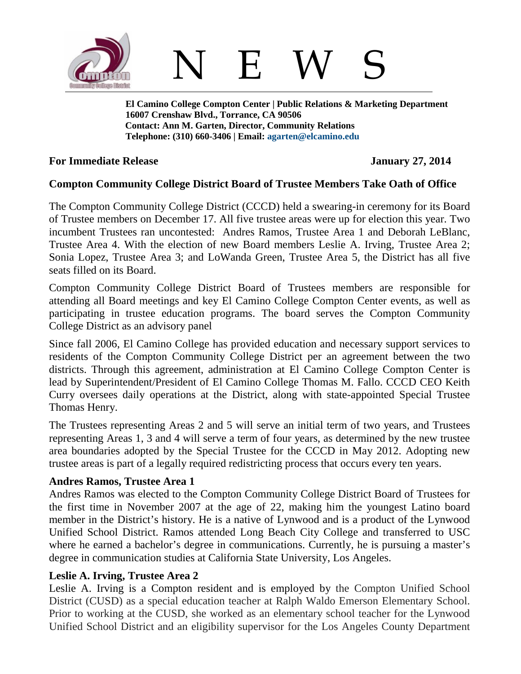

**El Camino College Compton Center | Public Relations & Marketing Department 16007 Crenshaw Blvd., Torrance, CA 90506 Contact: Ann M. Garten, Director, Community Relations Telephone: (310) 660-3406 | Email: [agarten@elcamino.edu](mailto:agarten@elcamino.edu)** 

## **For Immediate Release January 27, 2014**

# **Compton Community College District Board of Trustee Members Take Oath of Office**

The Compton Community College District (CCCD) held a swearing-in ceremony for its Board of Trustee members on December 17. All five trustee areas were up for election this year. Two incumbent Trustees ran uncontested: Andres Ramos, Trustee Area 1 and Deborah LeBlanc, Trustee Area 4. With the election of new Board members Leslie A. Irving, Trustee Area 2; Sonia Lopez, Trustee Area 3; and LoWanda Green, Trustee Area 5, the District has all five seats filled on its Board.

Compton Community College District Board of Trustees members are responsible for attending all Board meetings and key El Camino College Compton Center events, as well as participating in trustee education programs. The board serves the Compton Community College District as an advisory panel

Since fall 2006, El Camino College has provided education and necessary support services to residents of the Compton Community College District per an agreement between the two districts. Through this agreement, administration at El Camino College Compton Center is lead by Superintendent/President of El Camino College Thomas M. Fallo. CCCD CEO Keith Curry oversees daily operations at the District, along with state-appointed Special Trustee Thomas Henry.

The Trustees representing Areas 2 and 5 will serve an initial term of two years, and Trustees representing Areas 1, 3 and 4 will serve a term of four years, as determined by the new trustee area boundaries adopted by the Special Trustee for the CCCD in May 2012. Adopting new trustee areas is part of a legally required redistricting process that occurs every ten years.

# **Andres Ramos, Trustee Area 1**

Andres Ramos was elected to the Compton Community College District Board of Trustees for the first time in November 2007 at the age of 22, making him the youngest Latino board member in the District's history. He is a native of Lynwood and is a product of the Lynwood Unified School District. Ramos attended Long Beach City College and transferred to USC where he earned a bachelor's degree in communications. Currently, he is pursuing a master's degree in communication studies at California State University, Los Angeles.

# **Leslie A. Irving, Trustee Area 2**

Leslie A. Irving is a Compton resident and is employed by the Compton Unified School District (CUSD) as a special education teacher at Ralph Waldo Emerson Elementary School. Prior to working at the CUSD, she worked as an elementary school teacher for the Lynwood Unified School District and an eligibility supervisor for the Los Angeles County Department